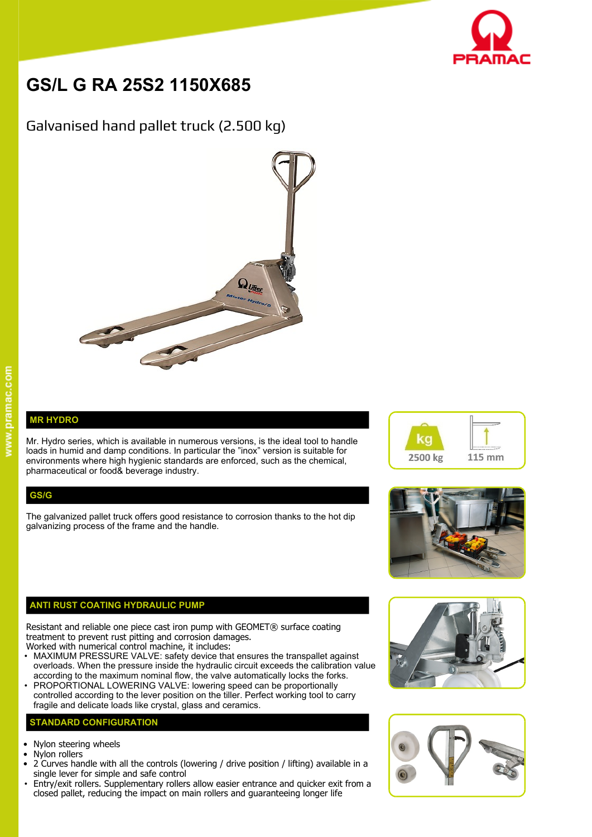

# **GS/L G RA 25S2 1150X685**

## Galvanised hand pallet truck (2.500 kg)



### **MR HYDRO**

Mr. Hydro series, which is available in numerous versions, is the ideal tool to handle  $\blacksquare$ loads in humid and damp conditions. In particular the "inox" version is suitable for environments where high hygienic standards are enforced, such as the chemical, pharmaceutical or food& beverage industry.

#### **GS/G**

The galvanized pallet truck offers good resistance to corrosion thanks to the hot dip galvanizing process of the frame and the handle.



Resistant and reliable one piece cast iron pump with GEOMET® surface coating treatment to prevent rust pitting and corrosion damages.

- Worked with numerical control machine, it includes:
- MAXIMUM PRESSURE VALVE: safety device that ensures the transpallet against overloads. When the pressure inside the hydraulic circuit exceeds the calibration value according to the maximum nominal flow, the valve automatically locks the forks.
- PROPORTIONAL LOWERING VALVE: lowering speed can be proportionally controlled according to the lever position on the tiller. Perfect working tool to carry fragile and delicate loads like crystal, glass and ceramics.

#### **STANDARD CONFIGURATION**

- Nylon steering wheels
- Nylon rollers
- 2 Curves handle with all the controls (lowering / drive position / lifting) available in a single lever for simple and safe control
- Entry/exit rollers. Supplementary rollers allow easier entrance and quicker exit from a closed pallet, reducing the impact on main rollers and guaranteeing longer life







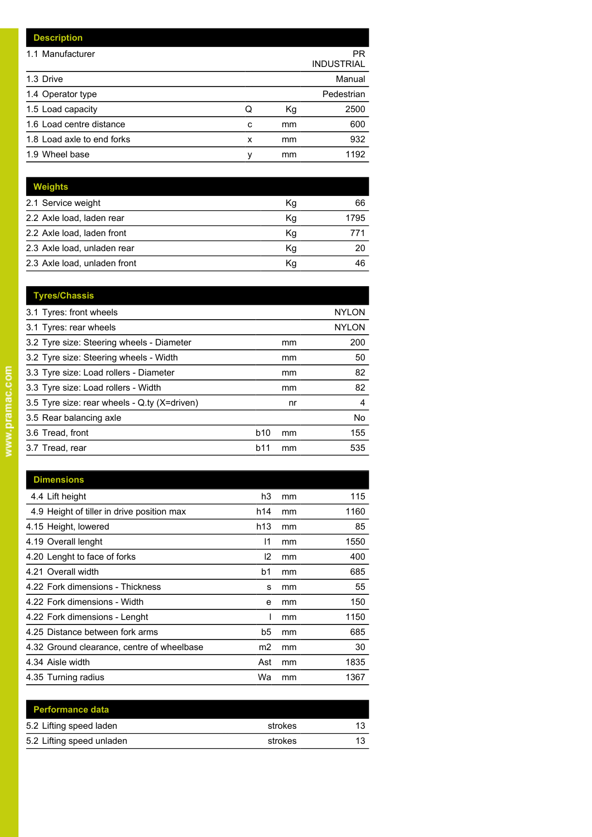| <b>Description</b>         |   |    |                         |
|----------------------------|---|----|-------------------------|
| 1.1 Manufacturer           |   |    | PR<br><b>INDUSTRIAL</b> |
| 1.3 Drive                  |   |    | Manual                  |
| 1.4 Operator type          |   |    | Pedestrian              |
| 1.5 Load capacity          | Q | Kg | 2500                    |
| 1.6 Load centre distance   | c | mm | 600                     |
| 1.8 Load axle to end forks | x | mm | 932                     |
| 1.9 Wheel base             | ٧ | mm | 1192                    |

| <b>Weights</b>               |    |      |
|------------------------------|----|------|
| 2.1 Service weight           | Кg | 66   |
| 2.2 Axle load, laden rear    | Κq | 1795 |
| 2.2 Axle load, laden front   | Kg | 771  |
| 2.3 Axle load, unladen rear  | Κq | 20   |
| 2.3 Axle load, unladen front | Кg | 46   |
|                              |    |      |

| <b>Tyres/Chassis</b>                         |            |    |              |
|----------------------------------------------|------------|----|--------------|
| 3.1 Tyres: front wheels                      |            |    | <b>NYLON</b> |
| 3.1 Tyres: rear wheels                       |            |    | <b>NYLON</b> |
| 3.2 Tyre size: Steering wheels - Diameter    |            | mm | 200          |
| 3.2 Tyre size: Steering wheels - Width       |            | mm | 50           |
| 3.3 Tyre size: Load rollers - Diameter       |            | mm | 82           |
| 3.3 Tyre size: Load rollers - Width          |            | mm | 82           |
| 3.5 Tyre size: rear wheels - Q.ty (X=driven) |            | nr | 4            |
| 3.5 Rear balancing axle                      |            |    | No           |
| 3.6 Tread, front                             | <b>b10</b> | mm | 155          |
| 3.7 Tread, rear                              | <b>b11</b> | mm | 535          |
|                                              |            |    |              |

| <b>Dimensions</b>                          |                 |    |      |
|--------------------------------------------|-----------------|----|------|
| 4.4 Lift height                            | h3              | mm | 115  |
| 4.9 Height of tiller in drive position max | h14             | mm | 1160 |
| 4.15 Height, lowered                       | h <sub>13</sub> | mm | 85   |
| 4.19 Overall lenght                        | 11              | mm | 1550 |
| 4.20 Lenght to face of forks               | 12              | mm | 400  |
| 4.21 Overall width                         | b1              | mm | 685  |
| 4.22 Fork dimensions - Thickness           | s               | mm | 55   |
| 4.22 Fork dimensions - Width               | е               | mm | 150  |
| 4.22 Fork dimensions - Lenght              |                 | mm | 1150 |
| 4.25 Distance between fork arms            | b5              | mm | 685  |
| 4.32 Ground clearance, centre of wheelbase | m2              | mm | 30   |
| 4.34 Aisle width                           | Ast             | mm | 1835 |
| 4.35 Turning radius                        | Wa              | mm | 1367 |

| <b>Performance data</b>   |         |    |
|---------------------------|---------|----|
| 5.2 Lifting speed laden   | strokes | 12 |
| 5.2 Lifting speed unladen | strokes | 12 |